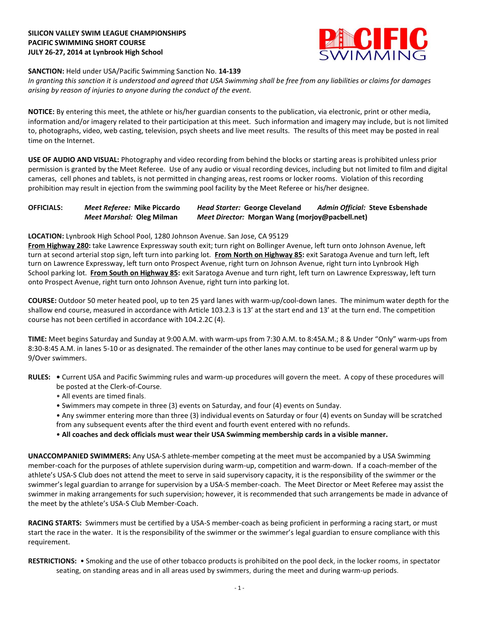# **SILICON VALLEY SWIM LEAGUE CHAMPIONSHIPS PACIFIC SWIMMING SHORT COURSE JULY 26-27, 2014 at Lynbrook High School**



### **SANCTION:** Held under USA/Pacific Swimming Sanction No. **14-139**

*In granting this sanction it is understood and agreed that USA Swimming shall be free from any liabilities or claims for damages arising by reason of injuries to anyone during the conduct of the event.*

**NOTICE:** By entering this meet, the athlete or his/her guardian consents to the publication, via electronic, print or other media, information and/or imagery related to their participation at this meet. Such information and imagery may include, but is not limited to, photographs, video, web casting, television, psych sheets and live meet results. The results of this meet may be posted in real time on the Internet.

**USE OF AUDIO AND VISUAL:** Photography and video recording from behind the blocks or starting areas is prohibited unless prior permission is granted by the Meet Referee. Use of any audio or visual recording devices, including but not limited to film and digital cameras, cell phones and tablets, is not permitted in changing areas, rest rooms or locker rooms. Violation of this recording prohibition may result in ejection from the swimming pool facility by the Meet Referee or his/her designee.

# **OFFICIALS:** *Meet Referee:* **Mike Piccardo** *Head Starter:* **George Cleveland** *Admin Official:* **Steve Esbenshade** *Meet Marshal:* **Oleg Milman** *Meet Director:* **Morgan Wang (morjoy@pacbell.net)**

### **LOCATION:** Lynbrook High School Pool, 1280 Johnson Avenue. San Jose, CA 95129

**From Highway 280:** take Lawrence Expressway south exit; turn right on Bollinger Avenue, left turn onto Johnson Avenue, left turn at second arterial stop sign, left turn into parking lot. **From North on Highway 85:** exit Saratoga Avenue and turn left, left turn on Lawrence Expressway, left turn onto Prospect Avenue, right turn on Johnson Avenue, right turn into Lynbrook High School parking lot. **From South on Highway 85:** exit Saratoga Avenue and turn right, left turn on Lawrence Expressway, left turn onto Prospect Avenue, right turn onto Johnson Avenue, right turn into parking lot.

**COURSE:** Outdoor 50 meter heated pool, up to ten 25 yard lanes with warm-up/cool-down lanes. The minimum water depth for the shallow end course, measured in accordance with Article 103.2.3 is 13' at the start end and 13' at the turn end. The competition course has not been certified in accordance with 104.2.2C (4).

**TIME:** Meet begins Saturday and Sunday at 9:00 A.M. with warm-ups from 7:30 A.M. to 8:45A.M.; 8 & Under "Only" warm-ups from 8:30-8:45 A.M. in lanes 5-10 or as designated. The remainder of the other lanes may continue to be used for general warm up by 9/Over swimmers.

- **RULES:** Current USA and Pacific Swimming rules and warm-up procedures will govern the meet. A copy of these procedures will be posted at the Clerk-of-Course.
	- All events are timed finals.
	- Swimmers may compete in three (3) events on Saturday, and four (4) events on Sunday.
	- Any swimmer entering more than three (3) individual events on Saturday or four (4) events on Sunday will be scratched from any subsequent events after the third event and fourth event entered with no refunds.
	- **All coaches and deck officials must wear their USA Swimming membership cards in a visible manner.**

**UNACCOMPANIED SWIMMERS:** Any USA-S athlete-member competing at the meet must be accompanied by a USA Swimming member-coach for the purposes of athlete supervision during warm-up, competition and warm-down. If a coach-member of the athlete's USA-S Club does not attend the meet to serve in said supervisory capacity, it is the responsibility of the swimmer or the swimmer's legal guardian to arrange for supervision by a USA-S member-coach. The Meet Director or Meet Referee may assist the swimmer in making arrangements for such supervision; however, it is recommended that such arrangements be made in advance of the meet by the athlete's USA-S Club Member-Coach.

**RACING STARTS:** Swimmers must be certified by a USA-S member-coach as being proficient in performing a racing start, or must start the race in the water. It is the responsibility of the swimmer or the swimmer's legal guardian to ensure compliance with this requirement.

**RESTRICTIONS:** • Smoking and the use of other tobacco products is prohibited on the pool deck, in the locker rooms, in spectator seating, on standing areas and in all areas used by swimmers, during the meet and during warm-up periods.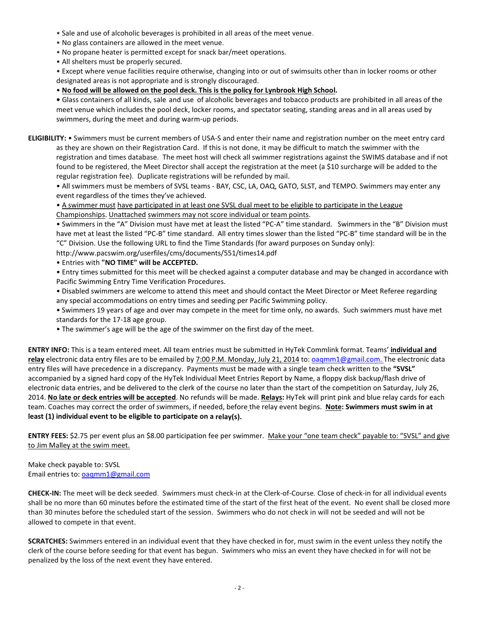- Sale and use of alcoholic beverages is prohibited in all areas of the meet venue.
- No glass containers are allowed in the meet venue.
- No propane heater is permitted except for snack bar/meet operations.
- All shelters must be properly secured.

• Except where venue facilities require otherwise, changing into or out of swimsuits other than in locker rooms or other designated areas is not appropriate and is strongly discouraged.

• **No food will be allowed on the pool deck. This is the policy for Lynbrook High School.**

**•** Glass containers of all kinds, sale and use of alcoholic beverages and tobacco products are prohibited in all areas of the meet venue which includes the pool deck, locker rooms, and spectator seating, standing areas and in all areas used by swimmers, during the meet and during warm-up periods.

**ELIGIBILITY:** • Swimmers must be current members of USA-S and enter their name and registration number on the meet entry card as they are shown on their Registration Card. If this is not done, it may be difficult to match the swimmer with the registration and times database. The meet host will check all swimmer registrations against the SWIMS database and if not found to be registered, the Meet Director shall accept the registration at the meet (a \$10 surcharge will be added to the regular registration fee). Duplicate registrations will be refunded by mail.

• All swimmers must be members of SVSL teams - BAY, CSC, LA, OAQ, GATO, SLST, and TEMPO. Swimmers may enter any event regardless of the times they've achieved.

• A swimmer must have participated in at least one SVSL dual meet to be eligible to participate in the League Championships. Unattached swimmers may not score individual or team points.

• Swimmers in the "A" Division must have met at least the listed "PC-A" time standard. Swimmers in the "B" Division must have met at least the listed "PC-B" time standard. All entry times slower than the listed "PC-B" time standard will be in the "C" Division. Use the following URL to find the Time Standards (for award purposes on Sunday only):

http://www.pacswim.org/userfiles/cms/documents/551/times14.pdf

• Entries with **"NO TIME" will be ACCEPTED.**

• Entry times submitted for this meet will be checked against a computer database and may be changed in accordance with Pacific Swimming Entry Time Verification Procedures.

- Disabled swimmers are welcome to attend this meet and should contact the Meet Director or Meet Referee regarding any special accommodations on entry times and seeding per Pacific Swimming policy.
- Swimmers 19 years of age and over may compete in the meet for time only, no awards. Such swimmers must have met standards for the 17-18 age group.
- The swimmer's age will be the age of the swimmer on the first day of the meet.

**ENTRY INFO:** This is a team entered meet. All team entries must be submitted in HyTek Commlink format. Teams' **individual and relay** electronic data entry files are to be emailed by 7:00 P.M. Monday, July 21, 2014 to: [oaqmm1@gmail.com.](mailto:oaqmm1@gmail.com.) The electronic data entry files will have precedence in a discrepancy. Payments must be made with a single team check written to the **"SVSL"** accompanied by a signed hard copy of the HyTek Individual Meet Entries Report by Name, a floppy disk backup/flash drive of electronic data entries, and be delivered to the clerk of the course no later than the start of the competition on Saturday, July 26, 2014. **No late or deck entries will be accepted**. No refunds will be made. **Relays:** HyTek will print pink and blue relay cards for each team. Coaches may correct the order of swimmers, if needed, before the relay event begins. **Note: Swimmers must swim in at least (1) individual event to be eligible to participate on a relay(s).**

**ENTRY FEES:** \$2.75 per event plus an \$8.00 participation fee per swimmer. Make your "one team check" payable to: "SVSL" and give to Jim Malley at the swim meet.

Make check payable to: SVSL Email entries to: [oaqmm1@gmail.com](mailto:oaqmm1@gmail.com)

**CHECK-IN:** The meet will be deck seeded. Swimmers must check-in at the Clerk-of-Course. Close of check-in for all individual events shall be no more than 60 minutes before the estimated time of the start of the first heat of the event. No event shall be closed more than 30 minutes before the scheduled start of the session. Swimmers who do not check in will not be seeded and will not be allowed to compete in that event.

**SCRATCHES:** Swimmers entered in an individual event that they have checked in for, must swim in the event unless they notify the clerk of the course before seeding for that event has begun. Swimmers who miss an event they have checked in for will not be penalized by the loss of the next event they have entered.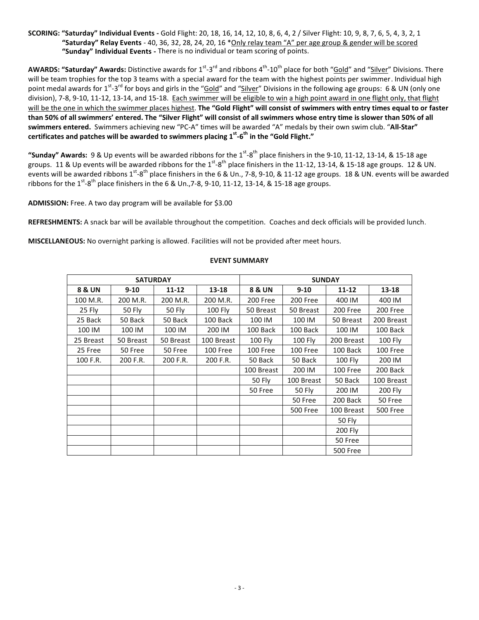## **SCORING: "Saturday" Individual Events -** Gold Flight: 20, 18, 16, 14, 12, 10, 8, 6, 4, 2 / Silver Flight: 10, 9, 8, 7, 6, 5, 4, 3, 2, 1 **"Saturday" Relay Events** - 40, 36, 32, 28, 24, 20, 16 \*Only relay team "A" per age group & gender will be scored  **"Sunday" Individual Events -** There is no individual or team scoring of points.

**AWARDS: "Saturday" Awards:** Distinctive awards for 1<sup>st</sup>-3<sup>rd</sup> and ribbons 4<sup>th</sup>-10<sup>th</sup> place for both "<u>Gold</u>" and "<u>Silver</u>" Divisions. There will be team trophies for the top 3 teams with a special award for the team with the highest points per swimmer. Individual high point medal awards for 1<sup>st</sup>-3<sup>rd</sup> for boys and girls in the "<u>Gold</u>" and "<u>Silver</u>" Divisions in the following age groups: 6 & UN (only one division), 7-8, 9-10, 11-12, 13-14, and 15-18. Each swimmer will be eligible to win a high point award in one flight only, that flight will be the one in which the swimmer places highest. **The "Gold Flight" will consist of swimmers with entry times equal to or faster** than 50% of all swimmers' entered. The "Silver Flight" will consist of all swimmers whose entry time is slower than 50% of all **swimmers entered.** Swimmers achieving new "PC-A" times will be awarded "A" medals by their own swim club. "**All-Star" certificates and patches will be awarded to swimmers placing 1 st -6 th in the "Gold Flight."**

"Sunday" Awards: 9 & Up events will be awarded ribbons for the 1<sup>st</sup>-8<sup>th</sup> place finishers in the 9-10, 11-12, 13-14, & 15-18 age groups. 11 & Up events will be awarded ribbons for the 1<sup>st</sup>-8<sup>th</sup> place finishers in the 11-12, 13-14, & 15-18 age groups. 12 & UN. events will be awarded ribbons 1<sup>st</sup>-8<sup>th</sup> place finishers in the 6 & Un., 7-8, 9-10, & 11-12 age groups. 18 & UN. events will be awarded ribbons for the 1 $^{\rm st}\text{-8}^{\rm th}$  place finishers in the 6 & Un.,7-8, 9-10, 11-12, 13-14, & 15-18 age groups.

**ADMISSION:** Free. A two day program will be available for \$3.00

**REFRESHMENTS:** A snack bar will be available throughout the competition. Coaches and deck officials will be provided lunch.

**MISCELLANEOUS:** No overnight parking is allowed. Facilities will not be provided after meet hours.

|                   | <b>SATURDAY</b> |           |            |               | <b>SUNDAY</b>   |                 |                 |
|-------------------|-----------------|-----------|------------|---------------|-----------------|-----------------|-----------------|
| <b>8 &amp; UN</b> | $9 - 10$        | $11 - 12$ | $13 - 18$  | 8 & UN        | $9 - 10$        | $11 - 12$       | $13 - 18$       |
| 100 M.R.          | 200 M.R.        | 200 M.R.  | 200 M.R.   | 200 Free      | 200 Free        | 400 IM          | 400 IM          |
| 25 Fly            | 50 Fly          | 50 Fly    | 100 Fly    | 50 Breast     | 50 Breast       | 200 Free        | 200 Free        |
| 25 Back           | 50 Back         | 50 Back   | 100 Back   | 100 IM        | 100 IM          | 50 Breast       | 200 Breast      |
| 100 IM            | 100 IM          | 100 IM    | 200 IM     | 100 Back      | 100 Back        | 100 IM          | 100 Back        |
| 25 Breast         | 50 Breast       | 50 Breast | 100 Breast | 100 Fly       | <b>100 Fly</b>  | 200 Breast      | <b>100 Fly</b>  |
| 25 Free           | 50 Free         | 50 Free   | 100 Free   | 100 Free      | 100 Free        | 100 Back        | 100 Free        |
| 100 F.R.          | 200 F.R.        | 200 F.R.  | 200 F.R.   | 50 Back       | 50 Back         | <b>100 Fly</b>  | 200 IM          |
|                   |                 |           |            | 100 Breast    | 200 IM          | 100 Free        | 200 Back        |
|                   |                 |           |            | <b>50 Fly</b> | 100 Breast      | 50 Back         | 100 Breast      |
|                   |                 |           |            | 50 Free       | 50 Fly          | 200 IM          | 200 Fly         |
|                   |                 |           |            |               | 50 Free         | 200 Back        | 50 Free         |
|                   |                 |           |            |               | <b>500 Free</b> | 100 Breast      | <b>500 Free</b> |
|                   |                 |           |            |               |                 | 50 Fly          |                 |
|                   |                 |           |            |               |                 | <b>200 Fly</b>  |                 |
|                   |                 |           |            |               |                 | 50 Free         |                 |
|                   |                 |           |            |               |                 | <b>500 Free</b> |                 |

#### **EVENT SUMMARY**